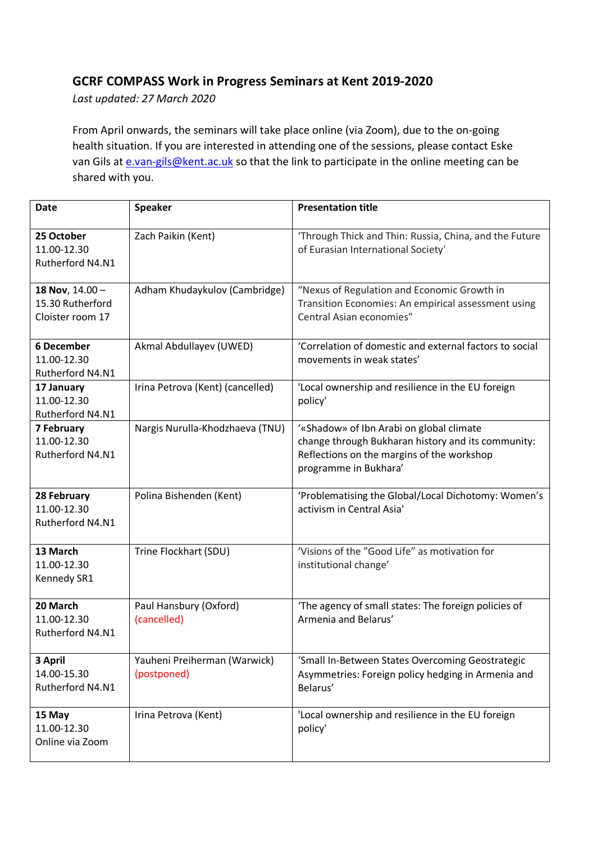## **GCRF COMPASS Work in Progress Seminars at Kent 2019-2020**

*Last updated: 27 March 2020*

From April onwards, the seminars will take place online (via Zoom), due to the on-going health situation. If you are interested in attending one of the sessions, please contact Eske van Gils at e.van-gils@kent.ac.uk so that the link to participate in the online meeting can be shared with you.

| <b>Date</b>                                             | <b>Speaker</b>                              | <b>Presentation title</b>                                                                                                                                             |
|---------------------------------------------------------|---------------------------------------------|-----------------------------------------------------------------------------------------------------------------------------------------------------------------------|
| 25 October<br>11.00-12.30<br>Rutherford N4.N1           | Zach Paikin (Kent)                          | 'Through Thick and Thin: Russia, China, and the Future<br>of Eurasian International Society'                                                                          |
| 18 Nov, 14.00 -<br>15.30 Rutherford<br>Cloister room 17 | Adham Khudaykulov (Cambridge)               | "Nexus of Regulation and Economic Growth in<br>Transition Economies: An empirical assessment using<br>Central Asian economies"                                        |
| <b>6 December</b><br>11.00-12.30<br>Rutherford N4.N1    | Akmal Abdullayev (UWED)                     | 'Correlation of domestic and external factors to social<br>movements in weak states'                                                                                  |
| 17 January<br>11.00-12.30<br>Rutherford N4.N1           | Irina Petrova (Kent) (cancelled)            | 'Local ownership and resilience in the EU foreign<br>policy'                                                                                                          |
| 7 February<br>11.00-12.30<br>Rutherford N4.N1           | Nargis Nurulla-Khodzhaeva (TNU)             | '«Shadow» of Ibn Arabi on global climate<br>change through Bukharan history and its community:<br>Reflections on the margins of the workshop<br>programme in Bukhara' |
| 28 February<br>11.00-12.30<br>Rutherford N4.N1          | Polina Bishenden (Kent)                     | 'Problematising the Global/Local Dichotomy: Women's<br>activism in Central Asia'                                                                                      |
| 13 March<br>11.00-12.30<br>Kennedy SR1                  | Trine Flockhart (SDU)                       | 'Visions of the "Good Life" as motivation for<br>institutional change'                                                                                                |
| 20 March<br>11.00-12.30<br>Rutherford N4.N1             | Paul Hansbury (Oxford)<br>(cancelled)       | 'The agency of small states: The foreign policies of<br>Armenia and Belarus'                                                                                          |
| 3 April<br>14.00-15.30<br>Rutherford N4.N1              | Yauheni Preiherman (Warwick)<br>(postponed) | 'Small In-Between States Overcoming Geostrategic<br>Asymmetries: Foreign policy hedging in Armenia and<br>Belarus'                                                    |
| 15 May<br>11.00-12.30<br>Online via Zoom                | Irina Petrova (Kent)                        | 'Local ownership and resilience in the EU foreign<br>policy'                                                                                                          |